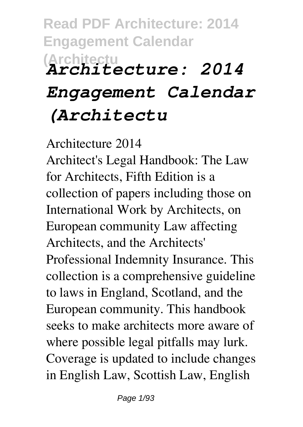# **Read PDF Architecture: 2014 Engagement Calendar (Architectu** *Architecture: 2014 Engagement Calendar (Architectu*

Architecture 2014

Architect's Legal Handbook: The Law for Architects, Fifth Edition is a collection of papers including those on International Work by Architects, on European community Law affecting Architects, and the Architects' Professional Indemnity Insurance. This collection is a comprehensive guideline to laws in England, Scotland, and the European community. This handbook seeks to make architects more aware of where possible legal pitfalls may lurk. Coverage is updated to include changes in English Law, Scottish Law, English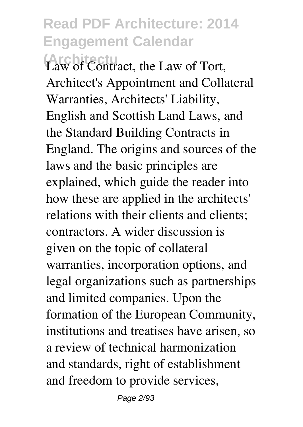**(Architectu** Law of Contract, the Law of Tort, Architect's Appointment and Collateral Warranties, Architects' Liability, English and Scottish Land Laws, and the Standard Building Contracts in England. The origins and sources of the laws and the basic principles are explained, which guide the reader into how these are applied in the architects' relations with their clients and clients; contractors. A wider discussion is given on the topic of collateral warranties, incorporation options, and legal organizations such as partnerships and limited companies. Upon the formation of the European Community, institutions and treatises have arisen, so a review of technical harmonization and standards, right of establishment and freedom to provide services,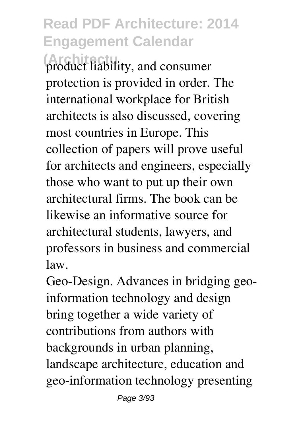**(Architectu** product liability, and consumer protection is provided in order. The international workplace for British architects is also discussed, covering most countries in Europe. This collection of papers will prove useful for architects and engineers, especially those who want to put up their own architectural firms. The book can be likewise an informative source for architectural students, lawyers, and professors in business and commercial law.

Geo-Design. Advances in bridging geoinformation technology and design bring together a wide variety of contributions from authors with backgrounds in urban planning, landscape architecture, education and geo-information technology presenting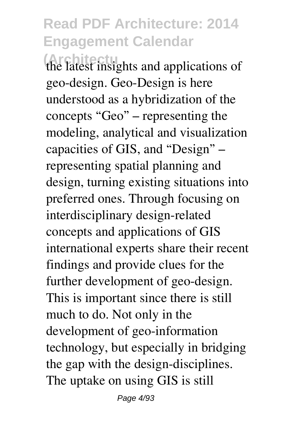**(Architectu** the latest insights and applications of geo-design. Geo-Design is here understood as a hybridization of the concepts "Geo" – representing the modeling, analytical and visualization capacities of GIS, and "Design" – representing spatial planning and design, turning existing situations into preferred ones. Through focusing on interdisciplinary design-related concepts and applications of GIS international experts share their recent findings and provide clues for the further development of geo-design. This is important since there is still much to do. Not only in the development of geo-information technology, but especially in bridging the gap with the design-disciplines. The uptake on using GIS is still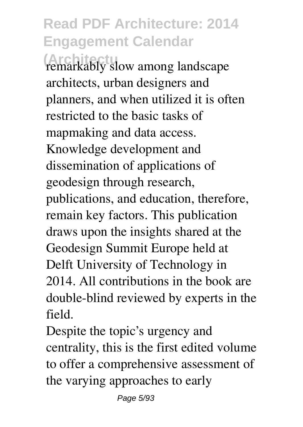**(Architectu** remarkably slow among landscape architects, urban designers and planners, and when utilized it is often restricted to the basic tasks of mapmaking and data access. Knowledge development and dissemination of applications of geodesign through research, publications, and education, therefore, remain key factors. This publication draws upon the insights shared at the Geodesign Summit Europe held at Delft University of Technology in 2014. All contributions in the book are double-blind reviewed by experts in the field.

Despite the topic's urgency and centrality, this is the first edited volume to offer a comprehensive assessment of the varying approaches to early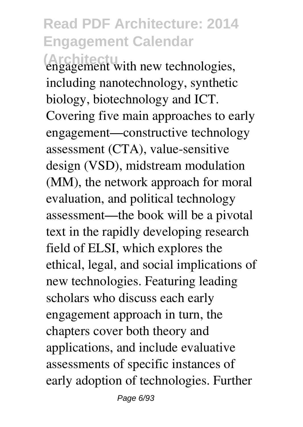**(Architecture**)<br>engagement with new technologies, including nanotechnology, synthetic biology, biotechnology and ICT. Covering five main approaches to early engagement—constructive technology assessment (CTA), value-sensitive design (VSD), midstream modulation (MM), the network approach for moral evaluation, and political technology assessment—the book will be a pivotal text in the rapidly developing research field of ELSI, which explores the ethical, legal, and social implications of new technologies. Featuring leading scholars who discuss each early engagement approach in turn, the chapters cover both theory and applications, and include evaluative assessments of specific instances of early adoption of technologies. Further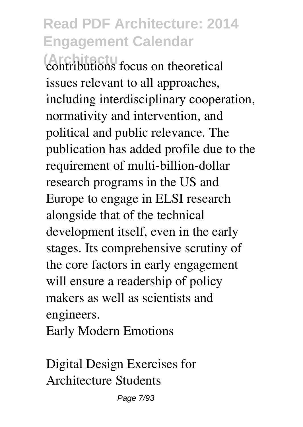*(Architecture focus on theoretical* issues relevant to all approaches, including interdisciplinary cooperation, normativity and intervention, and political and public relevance. The publication has added profile due to the requirement of multi-billion-dollar research programs in the US and Europe to engage in ELSI research alongside that of the technical development itself, even in the early stages. Its comprehensive scrutiny of the core factors in early engagement will ensure a readership of policy makers as well as scientists and engineers.

Early Modern Emotions

Digital Design Exercises for Architecture Students

Page 7/93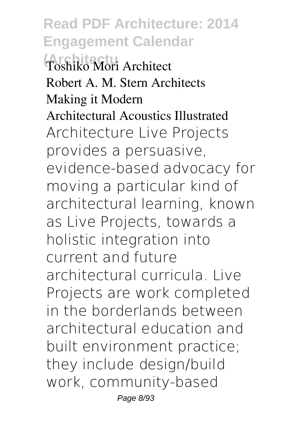**(Architectu** Toshiko Mori Architect Robert A. M. Stern Architects Making it Modern Architectural Acoustics Illustrated Architecture Live Projects provides a persuasive, evidence-based advocacy for moving a particular kind of architectural learning, known as Live Projects, towards a holistic integration into current and future architectural curricula. Live Projects are work completed in the borderlands between architectural education and built environment practice; they include design/build work, community-based Page 8/93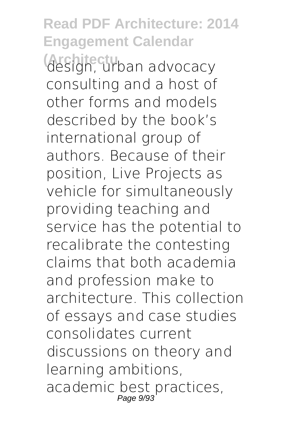**Read PDF Architecture: 2014 Engagement Calendar design, urban advocacy** consulting and a host of other forms and models described by the book's international group of authors. Because of their position, Live Projects as vehicle for simultaneously providing teaching and service has the potential to recalibrate the contesting claims that both academia and profession make to architecture. This collection of essays and case studies consolidates current discussions on theory and learning ambitions, academic best practices, Page 9/93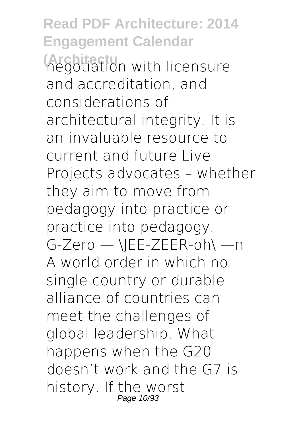**Read PDF Architecture: 2014 Engagement Calendar (Architecture** with licensure and accreditation, and considerations of architectural integrity. It is an invaluable resource to current and future Live Projects advocates – whether they aim to move from pedagogy into practice or practice into pedagogy. G-Zero — \JEE-ZEER-oh\ —n A world order in which no single country or durable alliance of countries can meet the challenges of global leadership. What happens when the G20 doesn't work and the G7 is history. If the worst Page 10/93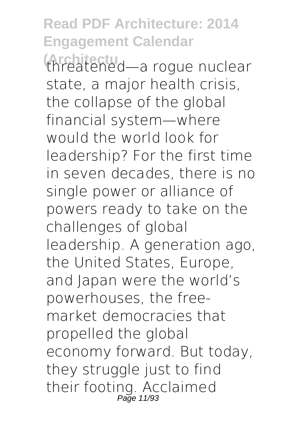**(Architectu** threatened—a rogue nuclear state, a major health crisis, the collapse of the global financial system—where would the world look for leadership? For the first time in seven decades, there is no single power or alliance of powers ready to take on the challenges of global leadership. A generation ago, the United States, Europe, and Japan were the world's powerhouses, the freemarket democracies that propelled the global economy forward. But today, they struggle just to find their footing. Acclaimed<br>Page 11/93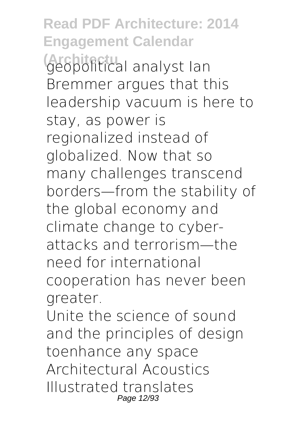**Read PDF Architecture: 2014 Engagement Calendar Geopolitical analyst Ian** Bremmer argues that this leadership vacuum is here to stay, as power is regionalized instead of globalized. Now that so many challenges transcend borders—from the stability of the global economy and climate change to cyberattacks and terrorism—the need for international cooperation has never been greater. Unite the science of sound

and the principles of design toenhance any space Architectural Acoustics Illustrated translates Page 12/93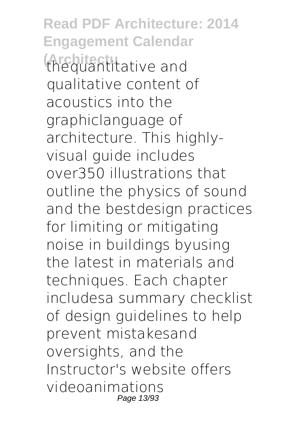**Read PDF Architecture: 2014 Engagement Calendar (Architectu** thequantitative and qualitative content of acoustics into the graphiclanguage of architecture. This highlyvisual guide includes over350 illustrations that outline the physics of sound and the bestdesign practices for limiting or mitigating noise in buildings byusing the latest in materials and techniques. Each chapter includesa summary checklist of design guidelines to help prevent mistakesand oversights, and the Instructor's website offers videoanimations Page 13/93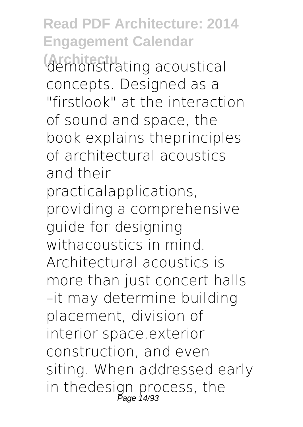**Read PDF Architecture: 2014 Engagement Calendar (Architectu** demonstrating acoustical concepts. Designed as a "firstlook" at the interaction of sound and space, the book explains theprinciples of architectural acoustics and their practicalapplications, providing a comprehensive guide for designing withacoustics in mind. Architectural acoustics is more than just concert halls –it may determine building placement, division of interior space,exterior construction, and even siting. When addressed early in thedesign process, the Page 14/93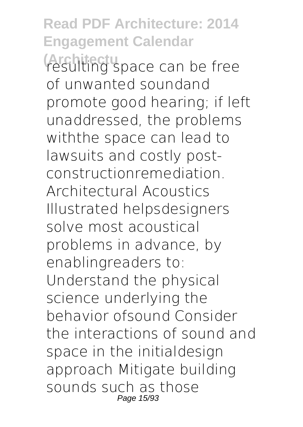**Read PDF Architecture: 2014 Engagement Calendar (Architectu** resulting space can be free of unwanted soundand promote good hearing; if left unaddressed, the problems withthe space can lead to lawsuits and costly postconstructionremediation. Architectural Acoustics Illustrated helpsdesigners solve most acoustical problems in advance, by enablingreaders to: Understand the physical science underlying the behavior ofsound Consider the interactions of sound and space in the initialdesign approach Mitigate building sounds such as those Page 15/93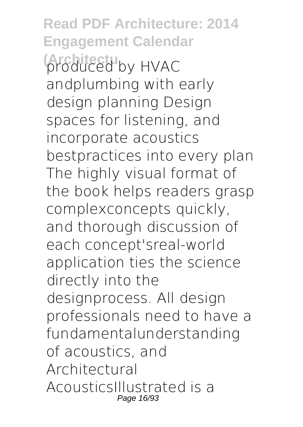**Read PDF Architecture: 2014 Engagement Calendar** *Architecture HVAC* andplumbing with early design planning Design spaces for listening, and incorporate acoustics bestpractices into every plan The highly visual format of the book helps readers grasp complexconcepts quickly, and thorough discussion of each concept'sreal-world application ties the science directly into the designprocess. All design professionals need to have a fundamentalunderstanding of acoustics, and Architectural AcousticsIllustrated is a Page 16/93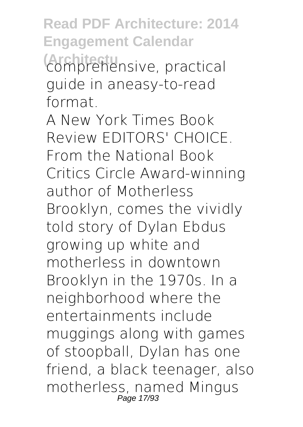**Read PDF Architecture: 2014 Engagement Calendar (Architectu** comprehensive, practical guide in aneasy-to-read format.

A New York Times Book Review EDITORS' CHOICE. From the National Book Critics Circle Award-winning author of Motherless Brooklyn, comes the vividly told story of Dylan Ebdus growing up white and motherless in downtown Brooklyn in the 1970s. In a neighborhood where the entertainments include muggings along with games of stoopball, Dylan has one friend, a black teenager, also motherless, named Mingus Page 17/93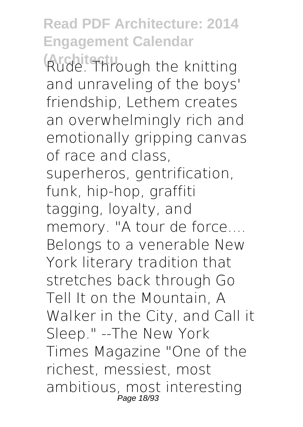**Read PDF Architecture: 2014 Engagement Calendar (Architectu** Rude. Through the knitting and unraveling of the boys' friendship, Lethem creates an overwhelmingly rich and emotionally gripping canvas of race and class, superheros, gentrification, funk, hip-hop, graffiti tagging, loyalty, and memory. "A tour de force.... Belongs to a venerable New York literary tradition that stretches back through Go Tell It on the Mountain, A Walker in the City, and Call it Sleep." --The New York Times Magazine "One of the richest, messiest, most ambitious, most interesting Page 18/93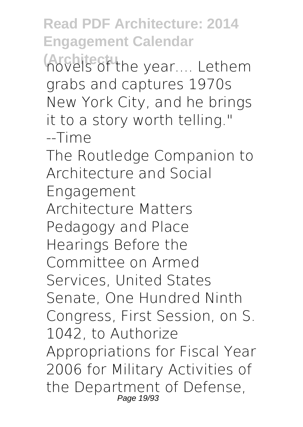**(Architectuthe year.... Lethem** grabs and captures 1970s New York City, and he brings it to a story worth telling." --Time

The Routledge Companion to Architecture and Social Engagement Architecture Matters Pedagogy and Place Hearings Before the Committee on Armed Services, United States Senate, One Hundred Ninth Congress, First Session, on S. 1042, to Authorize Appropriations for Fiscal Year 2006 for Military Activities of the Department of Defense, Page 19/93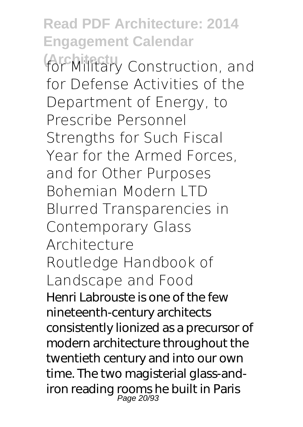**Read PDF Architecture: 2014 Engagement Calendar (Architectu** for Military Construction, and for Defense Activities of the Department of Energy, to Prescribe Personnel Strengths for Such Fiscal Year for the Armed Forces, and for Other Purposes Bohemian Modern LTD Blurred Transparencies in Contemporary Glass Architecture Routledge Handbook of Landscape and Food Henri Labrouste is one of the few nineteenth-century architects consistently lionized as a precursor of modern architecture throughout the twentieth century and into our own time. The two magisterial glass-andiron reading rooms he built in Paris<br>Page 20/93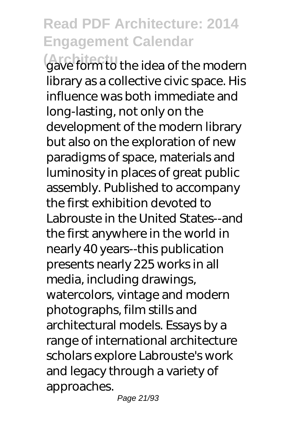**(Architectu** gave form to the idea of the modern library as a collective civic space. His influence was both immediate and long-lasting, not only on the development of the modern library but also on the exploration of new paradigms of space, materials and luminosity in places of great public assembly. Published to accompany the first exhibition devoted to Labrouste in the United States--and the first anywhere in the world in nearly 40 years--this publication presents nearly 225 works in all media, including drawings, watercolors, vintage and modern photographs, film stills and architectural models. Essays by a range of international architecture scholars explore Labrouste's work and legacy through a variety of approaches.

Page 21/93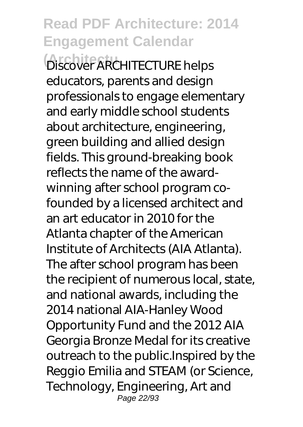**(Architectu** Discover ARCHITECTURE helps educators, parents and design professionals to engage elementary and early middle school students about architecture, engineering, green building and allied design fields. This ground-breaking book reflects the name of the awardwinning after school program cofounded by a licensed architect and an art educator in 2010 for the Atlanta chapter of the American Institute of Architects (AIA Atlanta). The after school program has been the recipient of numerous local, state, and national awards, including the 2014 national AIA-Hanley Wood Opportunity Fund and the 2012 AIA Georgia Bronze Medal for its creative outreach to the public.Inspired by the Reggio Emilia and STEAM (or Science, Technology, Engineering, Art and Page 22/93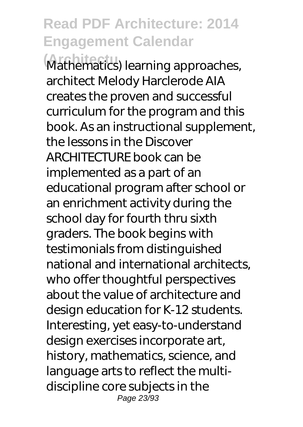**(Architectu** Mathematics) learning approaches, architect Melody Harclerode AIA creates the proven and successful curriculum for the program and this book. As an instructional supplement, the lessons in the Discover ARCHITECTURE book can be implemented as a part of an educational program after school or an enrichment activity during the school day for fourth thru sixth graders. The book begins with testimonials from distinguished national and international architects, who offer thoughtful perspectives about the value of architecture and design education for K-12 students. Interesting, yet easy-to-understand design exercises incorporate art, history, mathematics, science, and language arts to reflect the multidiscipline core subjects in the Page 23/93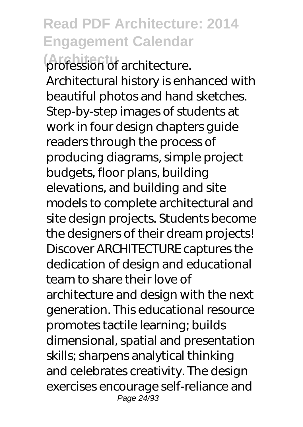**(Architectu** profession of architecture. Architectural history is enhanced with beautiful photos and hand sketches. Step-by-step images of students at work in four design chapters guide readers through the process of producing diagrams, simple project budgets, floor plans, building elevations, and building and site models to complete architectural and site design projects. Students become the designers of their dream projects! Discover ARCHITECTURE captures the dedication of design and educational team to share their love of architecture and design with the next generation. This educational resource promotes tactile learning; builds dimensional, spatial and presentation skills; sharpens analytical thinking and celebrates creativity. The design exercises encourage self-reliance and Page 24/93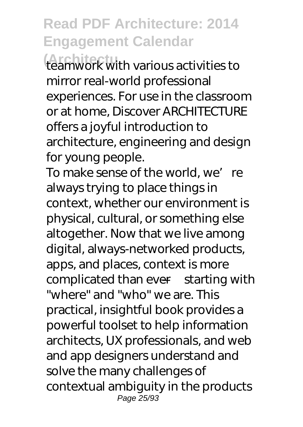**(Architectu** teamwork with various activities to mirror real-world professional experiences. For use in the classroom or at home, Discover ARCHITECTURE offers a joyful introduction to architecture, engineering and design for young people.

To make sense of the world, we're always trying to place things in context, whether our environment is physical, cultural, or something else altogether. Now that we live among digital, always-networked products, apps, and places, context is more complicated than ever—starting with "where" and "who" we are. This practical, insightful book provides a powerful toolset to help information architects, UX professionals, and web and app designers understand and solve the many challenges of contextual ambiguity in the products Page 25/93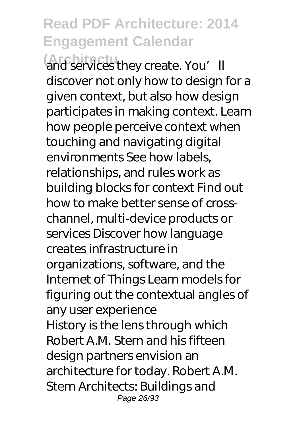**(Architecture**<br>and services they create. You'll discover not only how to design for a given context, but also how design participates in making context. Learn how people perceive context when touching and navigating digital environments See how labels, relationships, and rules work as building blocks for context Find out how to make better sense of crosschannel, multi-device products or services Discover how language creates infrastructure in organizations, software, and the Internet of Things Learn models for figuring out the contextual angles of any user experience History is the lens through which Robert A.M. Stern and his fifteen design partners envision an architecture for today. Robert A.M. Stern Architects: Buildings and Page 26/93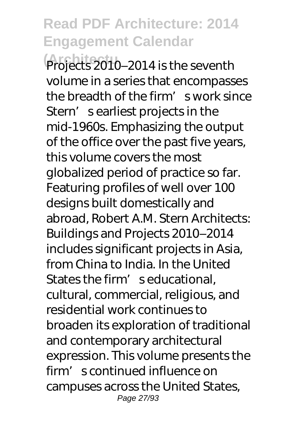**(Architectu** Projects 2010–2014 is the seventh volume in a series that encompasses the breadth of the firm' s work since Stern' searliest projects in the mid-1960s. Emphasizing the output of the office over the past five years, this volume covers the most globalized period of practice so far. Featuring profiles of well over 100 designs built domestically and abroad, Robert A.M. Stern Architects: Buildings and Projects 2010–2014 includes significant projects in Asia, from China to India. In the United States the firm' seducational, cultural, commercial, religious, and residential work continues to broaden its exploration of traditional and contemporary architectural expression. This volume presents the firm's continued influence on campuses across the United States, Page 27/93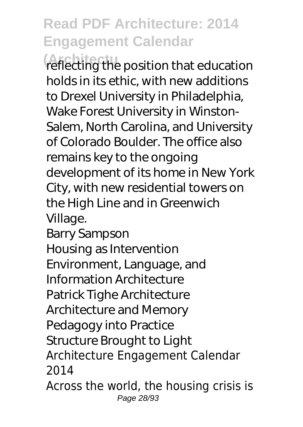**(Architectu** reflecting the position that education holds in its ethic, with new additions to Drexel University in Philadelphia, Wake Forest University in Winston-Salem, North Carolina, and University of Colorado Boulder. The office also remains key to the ongoing development of its home in New York City, with new residential towers on the High Line and in Greenwich Village.

Barry Sampson Housing as Intervention Environment, Language, and Information Architecture Patrick Tighe Architecture Architecture and Memory Pedagogy into Practice Structure Brought to Light Architecture Engagement Calendar 2014

Across the world, the housing crisis is Page 28/93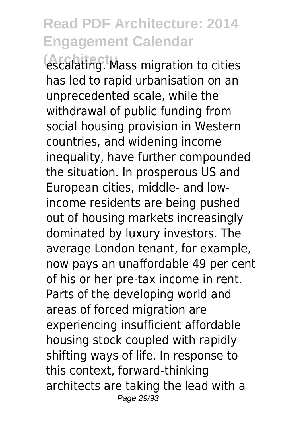**(Architectu** escalating. Mass migration to cities has led to rapid urbanisation on an unprecedented scale, while the withdrawal of public funding from social housing provision in Western countries, and widening income inequality, have further compounded the situation. In prosperous US and European cities, middle- and lowincome residents are being pushed out of housing markets increasingly dominated by luxury investors. The average London tenant, for example, now pays an unaffordable 49 per cent of his or her pre-tax income in rent. Parts of the developing world and areas of forced migration are experiencing insufficient affordable housing stock coupled with rapidly shifting ways of life. In response to this context, forward-thinking architects are taking the lead with a Page 29/93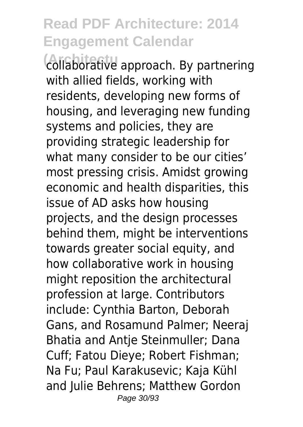**(Architectu** collaborative approach. By partnering with allied fields, working with residents, developing new forms of housing, and leveraging new funding systems and policies, they are providing strategic leadership for what many consider to be our cities' most pressing crisis. Amidst growing economic and health disparities, this issue of AD asks how housing projects, and the design processes behind them, might be interventions towards greater social equity, and how collaborative work in housing might reposition the architectural profession at large. Contributors include: Cynthia Barton, Deborah Gans, and Rosamund Palmer; Neeraj Bhatia and Antje Steinmuller; Dana Cuff; Fatou Dieye; Robert Fishman; Na Fu; Paul Karakusevic; Kaja Kühl and Julie Behrens; Matthew Gordon Page 30/93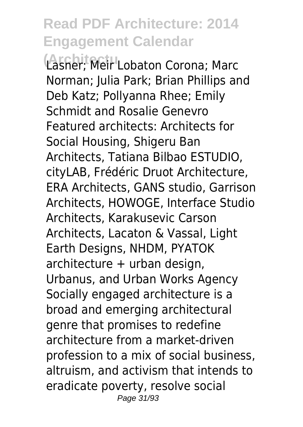**(Architectu** Lasner; Meir Lobaton Corona; Marc Norman; Julia Park; Brian Phillips and Deb Katz; Pollyanna Rhee; Emily Schmidt and Rosalie Genevro Featured architects: Architects for Social Housing, Shigeru Ban Architects, Tatiana Bilbao ESTUDIO, cityLAB, Frédéric Druot Architecture, ERA Architects, GANS studio, Garrison Architects, HOWOGE, Interface Studio Architects, Karakusevic Carson Architects, Lacaton & Vassal, Light Earth Designs, NHDM, PYATOK architecture + urban design, Urbanus, and Urban Works Agency Socially engaged architecture is a broad and emerging architectural genre that promises to redefine architecture from a market-driven profession to a mix of social business, altruism, and activism that intends to eradicate poverty, resolve social Page 31/93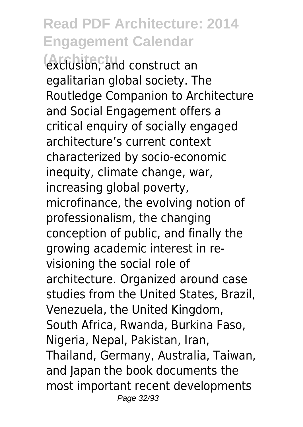**(Architectu** exclusion, and construct an egalitarian global society. The Routledge Companion to Architecture and Social Engagement offers a critical enquiry of socially engaged architecture's current context characterized by socio-economic inequity, climate change, war, increasing global poverty, microfinance, the evolving notion of professionalism, the changing conception of public, and finally the growing academic interest in revisioning the social role of architecture. Organized around case studies from the United States, Brazil, Venezuela, the United Kingdom, South Africa, Rwanda, Burkina Faso, Nigeria, Nepal, Pakistan, Iran, Thailand, Germany, Australia, Taiwan, and Japan the book documents the most important recent developments Page 32/93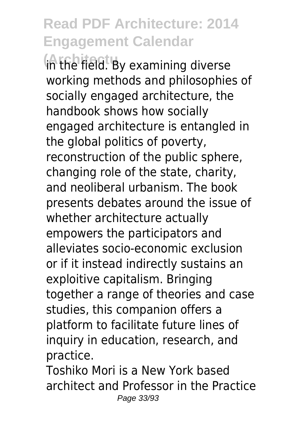**(Architectu** in the field. By examining diverse working methods and philosophies of socially engaged architecture, the handbook shows how socially engaged architecture is entangled in the global politics of poverty, reconstruction of the public sphere, changing role of the state, charity, and neoliberal urbanism. The book presents debates around the issue of whether architecture actually empowers the participators and alleviates socio-economic exclusion or if it instead indirectly sustains an exploitive capitalism. Bringing together a range of theories and case studies, this companion offers a platform to facilitate future lines of inquiry in education, research, and practice.

Toshiko Mori is a New York based architect and Professor in the Practice Page 33/93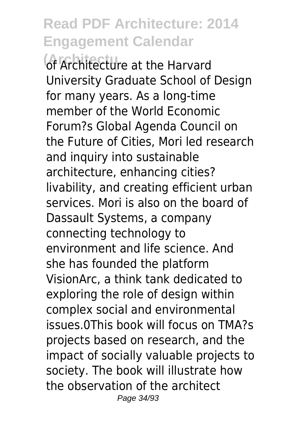**Architecture at the Harvard** University Graduate School of Design for many years. As a long-time member of the World Economic Forum?s Global Agenda Council on the Future of Cities, Mori led research and inquiry into sustainable architecture, enhancing cities? livability, and creating efficient urban services. Mori is also on the board of Dassault Systems, a company connecting technology to environment and life science. And she has founded the platform VisionArc, a think tank dedicated to exploring the role of design within complex social and environmental issues.0This book will focus on TMA?s projects based on research, and the impact of socially valuable projects to society. The book will illustrate how the observation of the architect Page 34/93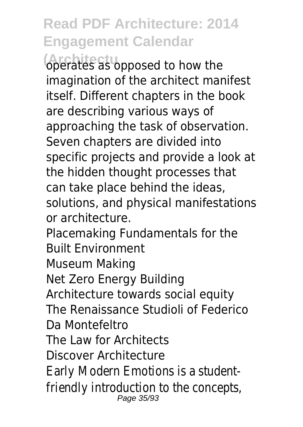**(Architectu** operates as opposed to how the imagination of the architect manifest itself. Different chapters in the book are describing various ways of approaching the task of observation. Seven chapters are divided into specific projects and provide a look at the hidden thought processes that can take place behind the ideas, solutions, and physical manifestations or architecture. Placemaking Fundamentals for the Built Environment Museum Making Net Zero Energy Building Architecture towards social equity The Renaissance Studioli of Federico Da Montefeltro The Law for Architects Discover Architecture Early Modern Emotions is a studentfriendly introduction to the concepts, Page 35/93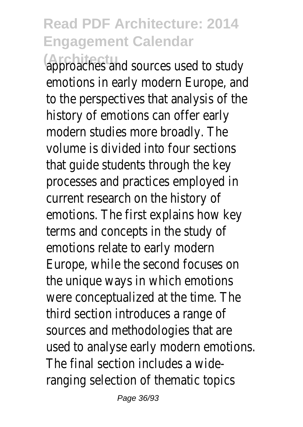**(Architectu** approaches and sources used to study emotions in early modern Europe, and to the perspectives that analysis of the history of emotions can offer early modern studies more broadly. The volume is divided into four sections that guide students through the key processes and practices employed in current research on the history of emotions. The first explains how key terms and concepts in the study of emotions relate to early modern Europe, while the second focuses on the unique ways in which emotions were conceptualized at the time. The third section introduces a range of sources and methodologies that are used to analyse early modern emotions. The final section includes a wideranging selection of thematic topics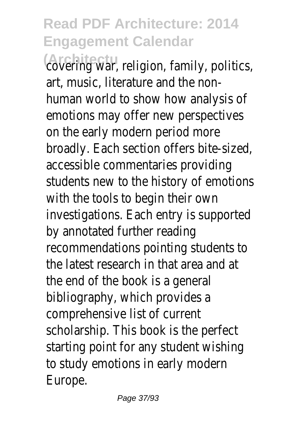**(Architectu** covering war, religion, family, politics, art, music, literature and the nonhuman world to show how analysis of emotions may offer new perspectives on the early modern period more broadly. Each section offers bite-sized, accessible commentaries providing students new to the history of emotions with the tools to begin their own investigations. Each entry is supported by annotated further reading recommendations pointing students to the latest research in that area and at the end of the book is a general bibliography, which provides a comprehensive list of current scholarship. This book is the perfect starting point for any student wishing to study emotions in early modern Europe.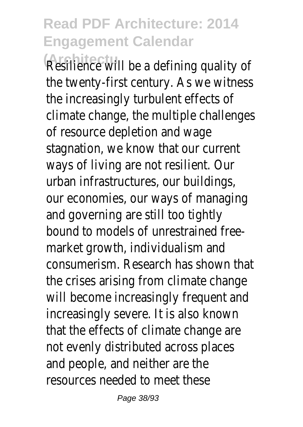Resilience will be a defining quality of the twenty-first century. As we witness the increasingly turbulent effects of climate change, the multiple challenges of resource depletion and wage stagnation, we know that our current ways of living are not resilient. Our urban infrastructures, our buildings, our economies, our ways of managing and governing are still too tightly bound to models of unrestrained freemarket growth, individualism and consumerism. Research has shown that the crises arising from climate change will become increasingly frequent and increasingly severe. It is also known that the effects of climate change are not evenly distributed across places and people, and neither are the resources needed to meet these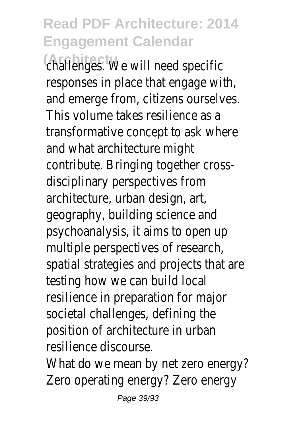challenges.<sup>t</sup> We will need specific responses in place that engage with, and emerge from, citizens ourselves. This volume takes resilience as a transformative concept to ask where and what architecture might contribute. Bringing together crossdisciplinary perspectives from architecture, urban design, art, geography, building science and psychoanalysis, it aims to open up multiple perspectives of research, spatial strategies and projects that are testing how we can build local resilience in preparation for major societal challenges, defining the position of architecture in urban resilience discourse.

What do we mean by net zero energy? Zero operating energy? Zero energy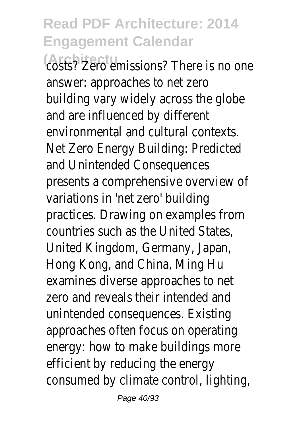**(Architectu** emissions? There is no one answer: approaches to net zero building vary widely across the globe and are influenced by different environmental and cultural contexts. Net Zero Energy Building: Predicted and Unintended Consequences presents a comprehensive overview of variations in 'net zero' building practices. Drawing on examples from countries such as the United States, United Kingdom, Germany, Japan, Hong Kong, and China, Ming Hu examines diverse approaches to net zero and reveals their intended and unintended consequences. Existing approaches often focus on operating energy: how to make buildings more efficient by reducing the energy consumed by climate control, lighting,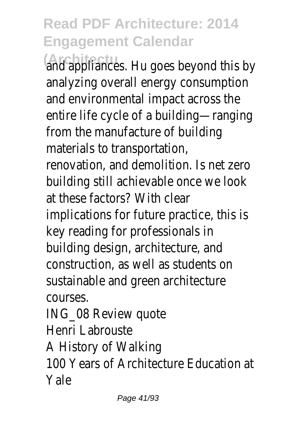**(Architectu** and appliances. Hu goes beyond this by analyzing overall energy consumption and environmental impact across the entire life cycle of a building—ranging from the manufacture of building materials to transportation, renovation, and demolition. Is net zero building still achievable once we look at these factors? With clear implications for future practice, this is key reading for professionals in building design, architecture, and construction, as well as students on sustainable and green architecture courses. ING\_08 Review quote

Henri Labrouste

A History of Walking

100 Years of Architecture Education at Yale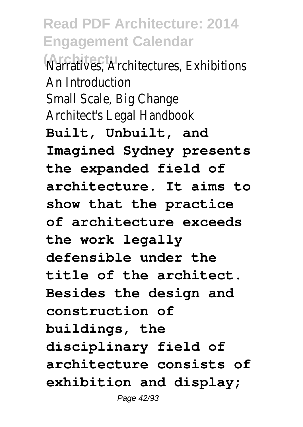**Marratives, Architectures, Exhibitions** An Introduction Small Scale, Big Change Architect's Legal Handbook **Built, Unbuilt, and Imagined Sydney presents the expanded field of architecture. It aims to show that the practice of architecture exceeds the work legally defensible under the title of the architect. Besides the design and construction of buildings, the disciplinary field of architecture consists of exhibition and display;** Page 42/93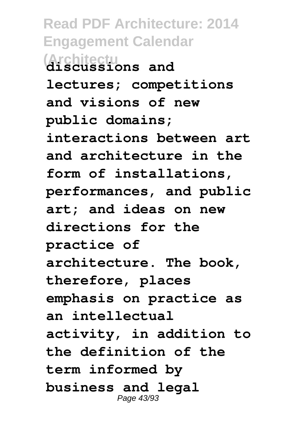**Read PDF Architecture: 2014 Engagement Calendar (Architectu discussions and lectures; competitions and visions of new public domains; interactions between art and architecture in the form of installations, performances, and public art; and ideas on new directions for the practice of architecture. The book, therefore, places emphasis on practice as an intellectual activity, in addition to the definition of the term informed by business and legal** Page 43/93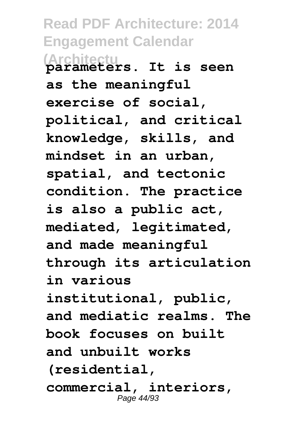**Read PDF Architecture: 2014 Engagement Calendar (Architectu parameters. It is seen as the meaningful exercise of social, political, and critical knowledge, skills, and mindset in an urban, spatial, and tectonic condition. The practice is also a public act, mediated, legitimated, and made meaningful through its articulation in various institutional, public, and mediatic realms. The book focuses on built and unbuilt works (residential, commercial, interiors,** Page 44/93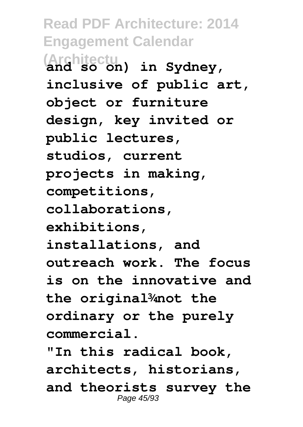**Read PDF Architecture: 2014 Engagement Calendar (Architectu and so on) in Sydney, inclusive of public art, object or furniture design, key invited or public lectures, studios, current projects in making, competitions, collaborations, exhibitions, installations, and outreach work. The focus is on the innovative and the original¾not the ordinary or the purely commercial.**

**"In this radical book, architects, historians, and theorists survey the** Page 45/93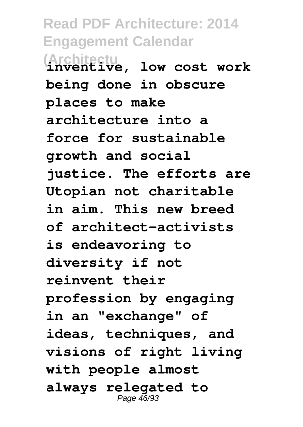**Read PDF Architecture: 2014 Engagement Calendar (Architectu inventive, low cost work being done in obscure places to make architecture into a force for sustainable growth and social justice. The efforts are Utopian not charitable in aim. This new breed of architect-activists is endeavoring to diversity if not reinvent their profession by engaging in an "exchange" of ideas, techniques, and visions of right living with people almost always relegated to** Page 46/93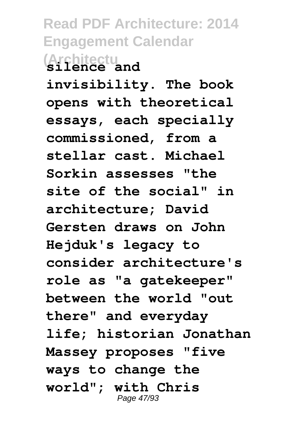**Read PDF Architecture: 2014 Engagement Calendar (Architectu silence and**

**invisibility. The book opens with theoretical essays, each specially commissioned, from a stellar cast. Michael Sorkin assesses "the site of the social" in architecture; David Gersten draws on John Hejduk's legacy to consider architecture's role as "a gatekeeper" between the world "out there" and everyday life; historian Jonathan Massey proposes "five ways to change the world"; with Chris** Page 47/93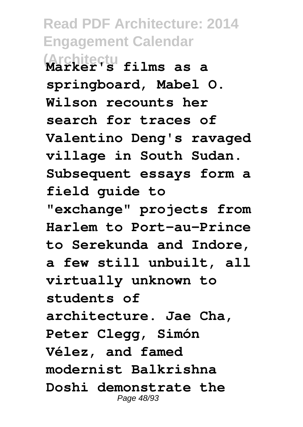**Read PDF Architecture: 2014 Engagement Calendar (Architectu Marker's films as a springboard, Mabel O. Wilson recounts her search for traces of Valentino Deng's ravaged village in South Sudan. Subsequent essays form a field guide to "exchange" projects from Harlem to Port-au-Prince to Serekunda and Indore, a few still unbuilt, all virtually unknown to students of architecture. Jae Cha, Peter Clegg, Simón Vélez, and famed modernist Balkrishna Doshi demonstrate the** Page 48/93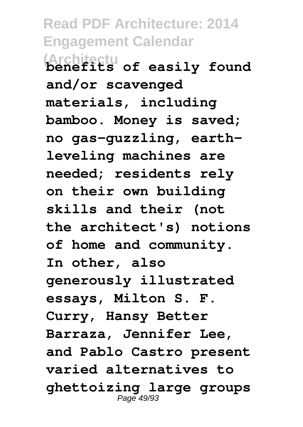**Read PDF Architecture: 2014 Engagement Calendar (Architectu benefits of easily found and/or scavenged materials, including bamboo. Money is saved; no gas-guzzling, earthleveling machines are needed; residents rely on their own building skills and their (not the architect's) notions of home and community. In other, also generously illustrated essays, Milton S. F. Curry, Hansy Better Barraza, Jennifer Lee, and Pablo Castro present varied alternatives to ghettoizing large groups** Page 49/93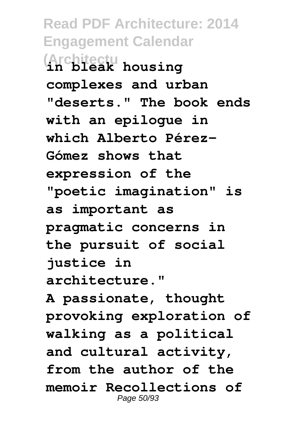**Read PDF Architecture: 2014 Engagement Calendar (Architectu in bleak housing complexes and urban "deserts." The book ends with an epilogue in which Alberto Pérez-Gómez shows that expression of the "poetic imagination" is as important as pragmatic concerns in the pursuit of social justice in architecture."**

**A passionate, thought provoking exploration of walking as a political and cultural activity, from the author of the memoir Recollections of** Page 50/93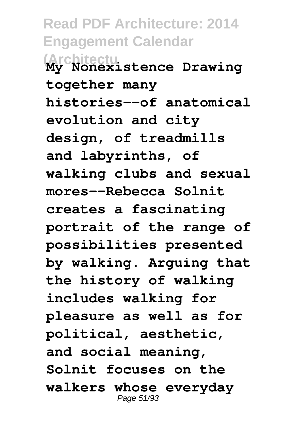**Read PDF Architecture: 2014 Engagement Calendar (Architectu My Nonexistence Drawing together many histories--of anatomical evolution and city design, of treadmills and labyrinths, of walking clubs and sexual mores--Rebecca Solnit creates a fascinating portrait of the range of possibilities presented by walking. Arguing that the history of walking includes walking for pleasure as well as for political, aesthetic, and social meaning, Solnit focuses on the walkers whose everyday** Page 51/93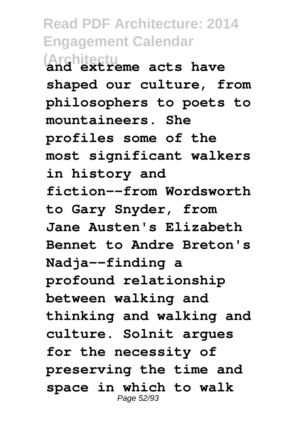**Read PDF Architecture: 2014 Engagement Calendar (Architectu and extreme acts have shaped our culture, from philosophers to poets to mountaineers. She profiles some of the most significant walkers in history and fiction--from Wordsworth to Gary Snyder, from Jane Austen's Elizabeth Bennet to Andre Breton's Nadja--finding a profound relationship between walking and thinking and walking and culture. Solnit argues for the necessity of preserving the time and space in which to walk** Page 52/93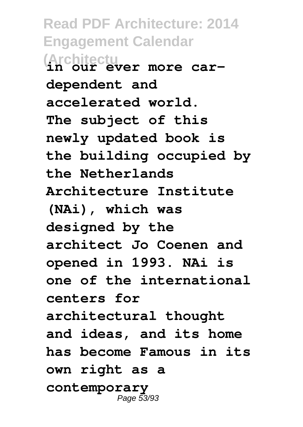**Read PDF Architecture: 2014 Engagement Calendar (Architectu in our ever more cardependent and accelerated world. The subject of this newly updated book is the building occupied by the Netherlands Architecture Institute (NAi), which was designed by the architect Jo Coenen and opened in 1993. NAi is one of the international centers for architectural thought and ideas, and its home has become Famous in its own right as a contemporary** Page 53/93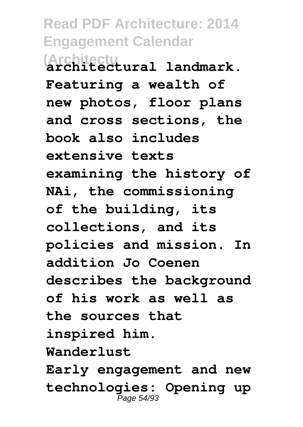**Read PDF Architecture: 2014 Engagement Calendar (Architectu architectural landmark. Featuring a wealth of new photos, floor plans and cross sections, the book also includes extensive texts examining the history of NAi, the commissioning of the building, its collections, and its policies and mission. In addition Jo Coenen describes the background of his work as well as the sources that inspired him. Wanderlust Early engagement and new technologies: Opening up** Page 54/93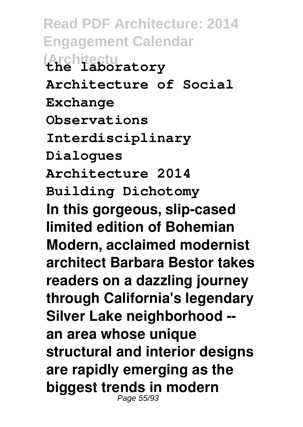**Read PDF Architecture: 2014 Engagement Calendar (Architectu the laboratory Architecture of Social Exchange Observations Interdisciplinary Dialogues Architecture 2014 Building Dichotomy In this gorgeous, slip-cased limited edition of Bohemian Modern, acclaimed modernist architect Barbara Bestor takes readers on a dazzling journey through California's legendary Silver Lake neighborhood - an area whose unique structural and interior designs are rapidly emerging as the biggest trends in modern** Page 55/93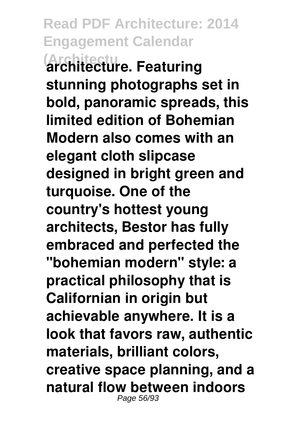**Read PDF Architecture: 2014 Engagement Calendar (Architectu architecture. Featuring stunning photographs set in bold, panoramic spreads, this limited edition of Bohemian Modern also comes with an elegant cloth slipcase designed in bright green and turquoise. One of the country's hottest young architects, Bestor has fully embraced and perfected the "bohemian modern" style: a practical philosophy that is Californian in origin but achievable anywhere. It is a look that favors raw, authentic materials, brilliant colors, creative space planning, and a natural flow between indoors** Page 56/93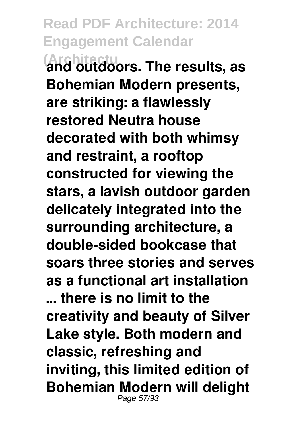**Read PDF Architecture: 2014 Engagement Calendar (Architectu and outdoors. The results, as Bohemian Modern presents, are striking: a flawlessly restored Neutra house decorated with both whimsy and restraint, a rooftop constructed for viewing the stars, a lavish outdoor garden delicately integrated into the surrounding architecture, a double-sided bookcase that soars three stories and serves as a functional art installation … there is no limit to the creativity and beauty of Silver Lake style. Both modern and classic, refreshing and inviting, this limited edition of Bohemian Modern will delight** Page 57/93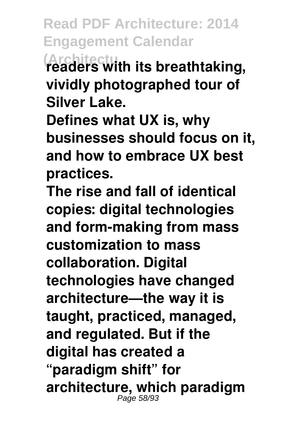**Read PDF Architecture: 2014 Engagement Calendar (Architectu readers with its breathtaking, vividly photographed tour of**

**Silver Lake.**

**Defines what UX is, why businesses should focus on it, and how to embrace UX best practices.**

**The rise and fall of identical copies: digital technologies and form-making from mass customization to mass collaboration. Digital technologies have changed architecture—the way it is taught, practiced, managed, and regulated. But if the digital has created a "paradigm shift" for architecture, which paradigm** Page 58/93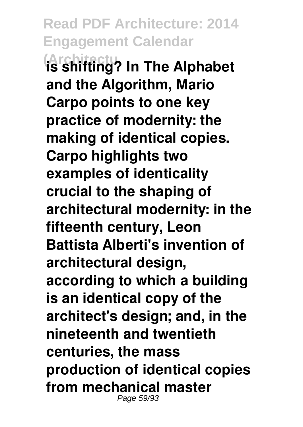**Read PDF Architecture: 2014 Engagement Calendar (Architectu is shifting? In The Alphabet and the Algorithm, Mario Carpo points to one key practice of modernity: the making of identical copies. Carpo highlights two examples of identicality crucial to the shaping of architectural modernity: in the fifteenth century, Leon Battista Alberti's invention of architectural design, according to which a building is an identical copy of the architect's design; and, in the nineteenth and twentieth centuries, the mass production of identical copies from mechanical master** Page 59/93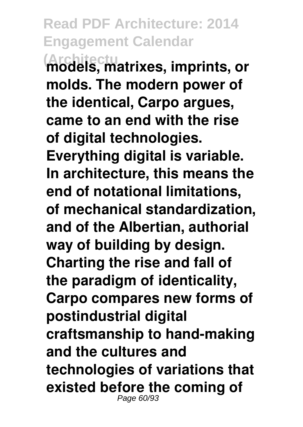**(Architectu models, matrixes, imprints, or molds. The modern power of the identical, Carpo argues, came to an end with the rise of digital technologies. Everything digital is variable. In architecture, this means the end of notational limitations, of mechanical standardization, and of the Albertian, authorial way of building by design. Charting the rise and fall of the paradigm of identicality, Carpo compares new forms of postindustrial digital craftsmanship to hand-making and the cultures and technologies of variations that existed before the coming of** Page 60/93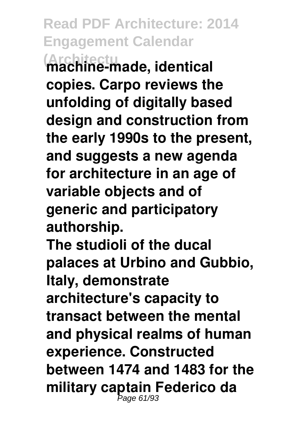**Read PDF Architecture: 2014 Engagement Calendar (Architectu machine-made, identical copies. Carpo reviews the unfolding of digitally based design and construction from the early 1990s to the present, and suggests a new agenda for architecture in an age of variable objects and of generic and participatory authorship. The studioli of the ducal palaces at Urbino and Gubbio,**

**Italy, demonstrate**

**architecture's capacity to transact between the mental and physical realms of human experience. Constructed between 1474 and 1483 for the military captain Federico da** Page 61/93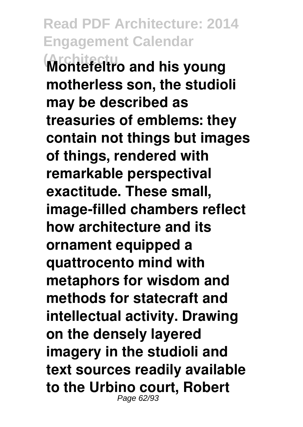**Read PDF Architecture: 2014 Engagement Calendar (Architectu Montefeltro and his young motherless son, the studioli may be described as treasuries of emblems: they contain not things but images of things, rendered with remarkable perspectival exactitude. These small, image-filled chambers reflect how architecture and its ornament equipped a quattrocento mind with metaphors for wisdom and methods for statecraft and intellectual activity. Drawing on the densely layered imagery in the studioli and text sources readily available to the Urbino court, Robert** Page 62/93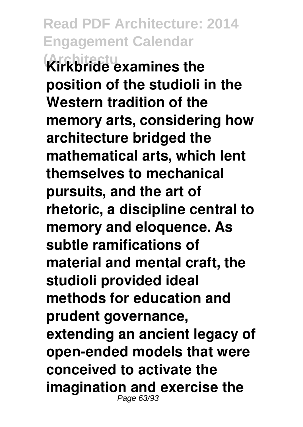**Read PDF Architecture: 2014 Engagement Calendar (Architectu Kirkbride examines the position of the studioli in the Western tradition of the memory arts, considering how architecture bridged the mathematical arts, which lent themselves to mechanical pursuits, and the art of rhetoric, a discipline central to memory and eloquence. As subtle ramifications of material and mental craft, the studioli provided ideal methods for education and prudent governance, extending an ancient legacy of open-ended models that were conceived to activate the imagination and exercise the** Page 63/93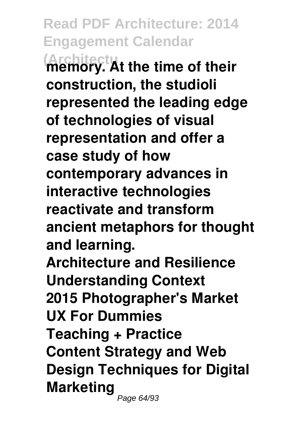**Read PDF Architecture: 2014 Engagement Calendar (Architectu memory. At the time of their construction, the studioli represented the leading edge of technologies of visual representation and offer a case study of how contemporary advances in interactive technologies reactivate and transform ancient metaphors for thought and learning. Architecture and Resilience Understanding Context 2015 Photographer's Market UX For Dummies Teaching + Practice**

**Content Strategy and Web Design Techniques for Digital Marketing** Page 64/93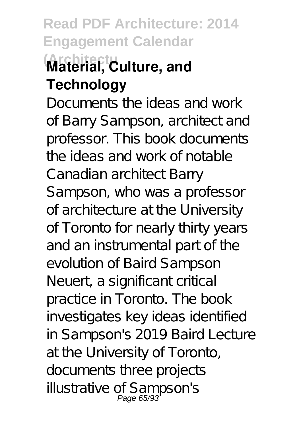# **Read PDF Architecture: 2014 Engagement Calendar (Architectu Material, Culture, and Technology**

Documents the ideas and work of Barry Sampson, architect and professor. This book documents the ideas and work of notable Canadian architect Barry Sampson, who was a professor of architecture at the University of Toronto for nearly thirty years and an instrumental part of the evolution of Baird Sampson Neuert, a significant critical practice in Toronto. The book investigates key ideas identified in Sampson's 2019 Baird Lecture at the University of Toronto, documents three projects illustrative of Sampson's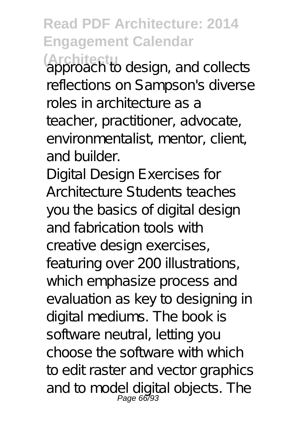**Architecture** design, and collects reflections on Sampson's diverse roles in architecture as a teacher, practitioner, advocate, environmentalist, mentor, client, and builder.

Digital Design Exercises for Architecture Students teaches you the basics of digital design and fabrication tools with creative design exercises, featuring over 200 illustrations, which emphasize process and evaluation as key to designing in digital mediums. The book is software neutral, letting you choose the software with which to edit raster and vector graphics and to model digital objects. The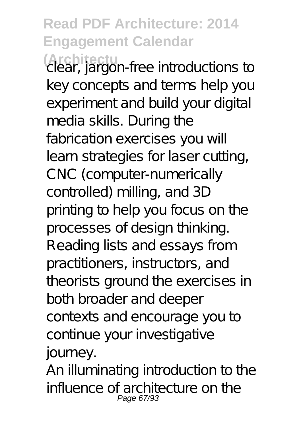**(Architectu** clear, jargon-free introductions to key concepts and terms help you experiment and build your digital media skills. During the fabrication exercises you will learn strategies for laser cutting, CNC (computer-numerically controlled) milling, and 3D printing to help you focus on the processes of design thinking. Reading lists and essays from practitioners, instructors, and theorists ground the exercises in both broader and deeper contexts and encourage you to continue your investigative journey.

An illuminating introduction to the influence of architecture on the Page 67/93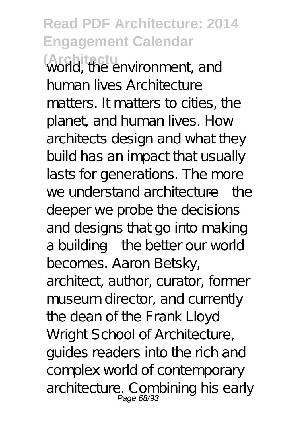**Read PDF Architecture: 2014 Engagement Calendar (Architectu** world, the environment, and human lives Architecture matters. It matters to cities, the planet, and human lives. How architects design and what they build has an impact that usually lasts for generations. The more we understand architecture—the deeper we probe the decisions and designs that go into making a building—the better our world becomes. Aaron Betsky, architect, author, curator, former museum director, and currently the dean of the Frank Lloyd Wright School of Architecture, guides readers into the rich and complex world of contemporary architecture. Combining his early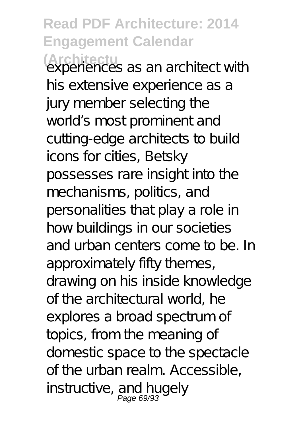**(Architectu** experiences as an architect with his extensive experience as a jury member selecting the world's most prominent and cutting-edge architects to build icons for cities, Betsky possesses rare insight into the mechanisms, politics, and personalities that play a role in how buildings in our societies and urban centers come to be. In approximately fifty themes, drawing on his inside knowledge of the architectural world, he explores a broad spectrum of topics, from the meaning of domestic space to the spectacle of the urban realm. Accessible, instructive, and hugely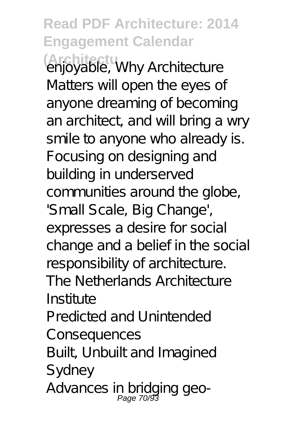**Read PDF Architecture: 2014 Engagement Calendar (Architectu** enjoyable, Why Architecture Matters will open the eyes of anyone dreaming of becoming an architect, and will bring a wry smile to anyone who already is. Focusing on designing and building in underserved communities around the globe, 'Small Scale, Big Change', expresses a desire for social change and a belief in the social responsibility of architecture. The Netherlands Architecture Institute Predicted and Unintended Consequences Built, Unbuilt and Imagined Sydney Advances in bridging geo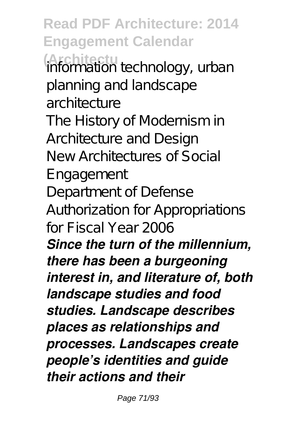**Read PDF Architecture: 2014 Engagement Calendar (Architectu** information technology, urban planning and landscape architecture The History of Modernism in Architecture and Design New Architectures of Social Engagement Department of Defense Authorization for Appropriations for Fiscal Year 2006 *Since the turn of the millennium, there has been a burgeoning interest in, and literature of, both landscape studies and food studies. Landscape describes places as relationships and processes. Landscapes create people's identities and guide their actions and their*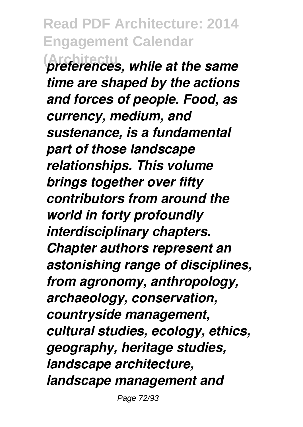**Read PDF Architecture: 2014 Engagement Calendar (Architectu** *preferences, while at the same time are shaped by the actions and forces of people. Food, as currency, medium, and sustenance, is a fundamental part of those landscape relationships. This volume brings together over fifty contributors from around the world in forty profoundly interdisciplinary chapters. Chapter authors represent an astonishing range of disciplines, from agronomy, anthropology, archaeology, conservation, countryside management, cultural studies, ecology, ethics, geography, heritage studies, landscape architecture, landscape management and*

Page 72/93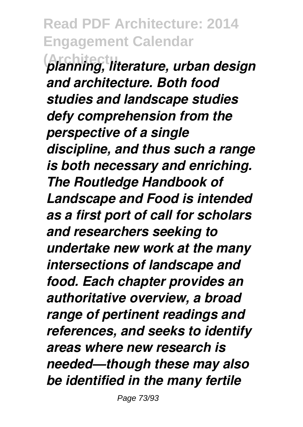**(Architectu** *planning, literature, urban design and architecture. Both food studies and landscape studies defy comprehension from the perspective of a single discipline, and thus such a range is both necessary and enriching. The Routledge Handbook of Landscape and Food is intended as a first port of call for scholars and researchers seeking to undertake new work at the many intersections of landscape and food. Each chapter provides an authoritative overview, a broad range of pertinent readings and references, and seeks to identify areas where new research is needed—though these may also be identified in the many fertile*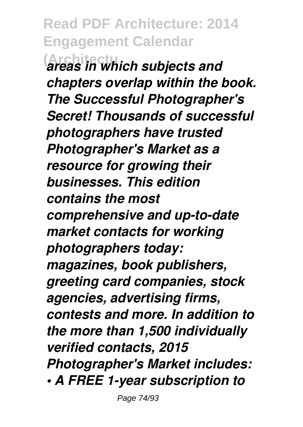**(Architectu** *areas in which subjects and chapters overlap within the book. The Successful Photographer's Secret! Thousands of successful photographers have trusted Photographer's Market as a resource for growing their businesses. This edition contains the most comprehensive and up-to-date market contacts for working photographers today: magazines, book publishers, greeting card companies, stock agencies, advertising firms, contests and more. In addition to the more than 1,500 individually verified contacts, 2015 Photographer's Market includes: • A FREE 1-year subscription to*

Page 74/93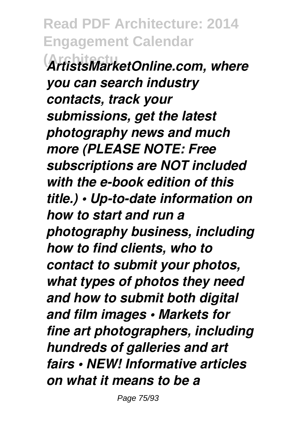**(Architectu** *ArtistsMarketOnline.com, where you can search industry contacts, track your submissions, get the latest photography news and much more (PLEASE NOTE: Free subscriptions are NOT included with the e-book edition of this title.) • Up-to-date information on how to start and run a photography business, including how to find clients, who to contact to submit your photos, what types of photos they need and how to submit both digital and film images • Markets for fine art photographers, including hundreds of galleries and art fairs • NEW! Informative articles on what it means to be a*

Page 75/93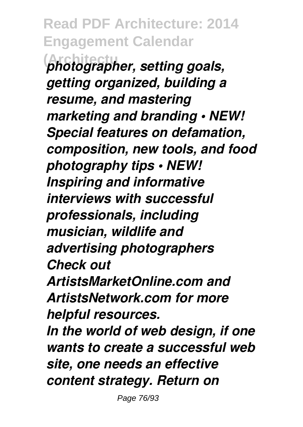**Read PDF Architecture: 2014 Engagement Calendar (Architectu** *photographer, setting goals, getting organized, building a resume, and mastering marketing and branding • NEW! Special features on defamation, composition, new tools, and food photography tips • NEW! Inspiring and informative interviews with successful professionals, including musician, wildlife and advertising photographers Check out ArtistsMarketOnline.com and ArtistsNetwork.com for more helpful resources. In the world of web design, if one wants to create a successful web site, one needs an effective content strategy. Return on*

Page 76/93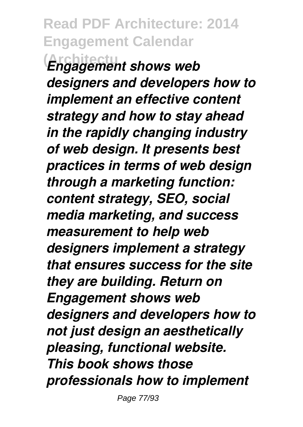## **Read PDF Architecture: 2014 Engagement Calendar (Architectu** *Engagement shows web*

*designers and developers how to implement an effective content strategy and how to stay ahead in the rapidly changing industry of web design. It presents best practices in terms of web design through a marketing function: content strategy, SEO, social media marketing, and success measurement to help web designers implement a strategy that ensures success for the site they are building. Return on Engagement shows web designers and developers how to not just design an aesthetically pleasing, functional website. This book shows those professionals how to implement*

Page 77/93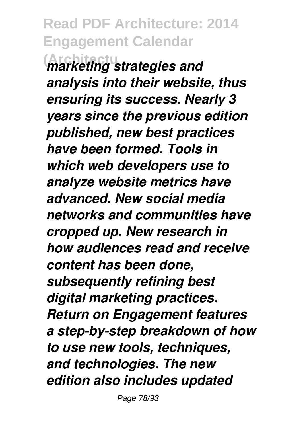**(Architectu** *marketing strategies and analysis into their website, thus ensuring its success. Nearly 3 years since the previous edition published, new best practices have been formed. Tools in which web developers use to analyze website metrics have advanced. New social media networks and communities have cropped up. New research in how audiences read and receive content has been done, subsequently refining best digital marketing practices. Return on Engagement features a step-by-step breakdown of how to use new tools, techniques, and technologies. The new edition also includes updated*

Page 78/93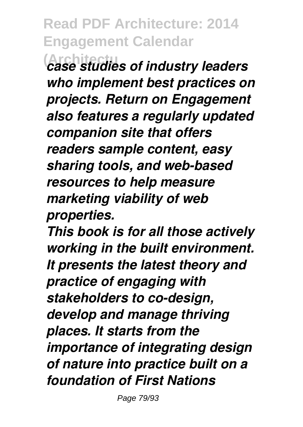**(Architectu** *case studies of industry leaders who implement best practices on projects. Return on Engagement also features a regularly updated companion site that offers readers sample content, easy sharing tools, and web-based resources to help measure marketing viability of web properties.*

*This book is for all those actively working in the built environment. It presents the latest theory and practice of engaging with stakeholders to co-design, develop and manage thriving places. It starts from the importance of integrating design of nature into practice built on a foundation of First Nations*

Page 79/93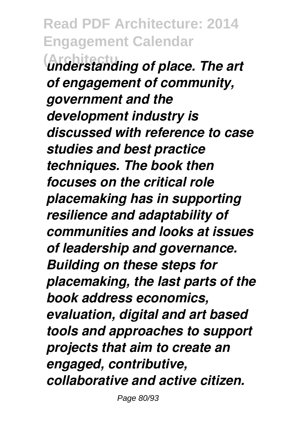**Read PDF Architecture: 2014 Engagement Calendar (Architectu** *understanding of place. The art of engagement of community, government and the development industry is discussed with reference to case studies and best practice techniques. The book then focuses on the critical role placemaking has in supporting resilience and adaptability of communities and looks at issues of leadership and governance. Building on these steps for placemaking, the last parts of the book address economics, evaluation, digital and art based tools and approaches to support projects that aim to create an engaged, contributive, collaborative and active citizen.*

Page 80/93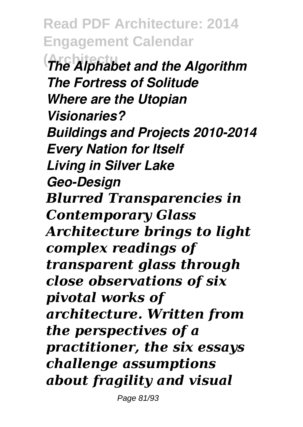**Read PDF Architecture: 2014 Engagement Calendar (Architectu** *The Alphabet and the Algorithm The Fortress of Solitude Where are the Utopian Visionaries? Buildings and Projects 2010-2014 Every Nation for Itself Living in Silver Lake Geo-Design Blurred Transparencies in Contemporary Glass Architecture brings to light complex readings of transparent glass through close observations of six pivotal works of architecture. Written from the perspectives of a practitioner, the six essays challenge assumptions about fragility and visual*

Page 81/93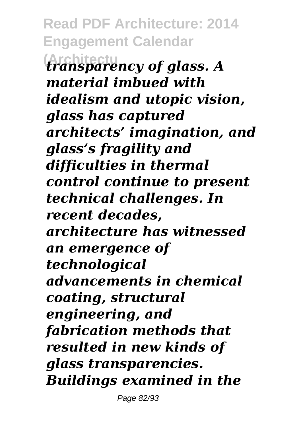**Read PDF Architecture: 2014 Engagement Calendar (Architectu** *transparency of glass. A material imbued with idealism and utopic vision, glass has captured architects' imagination, and glass's fragility and difficulties in thermal control continue to present technical challenges. In recent decades, architecture has witnessed an emergence of technological advancements in chemical coating, structural engineering, and fabrication methods that resulted in new kinds of glass transparencies. Buildings examined in the*

Page 82/93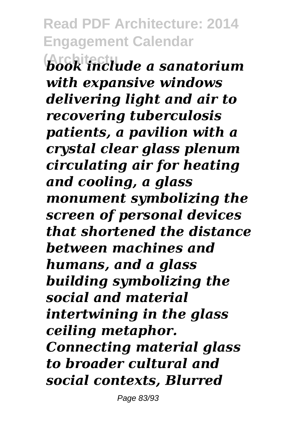**(Architectu** *book include a sanatorium with expansive windows delivering light and air to recovering tuberculosis patients, a pavilion with a crystal clear glass plenum circulating air for heating and cooling, a glass monument symbolizing the screen of personal devices that shortened the distance between machines and humans, and a glass building symbolizing the social and material intertwining in the glass ceiling metaphor. Connecting material glass to broader cultural and social contexts, Blurred*

Page 83/93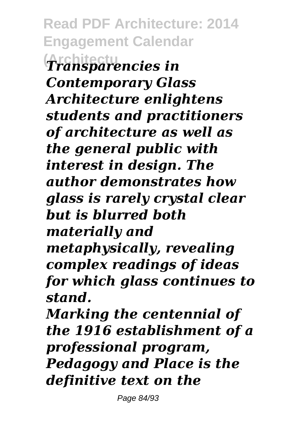**Read PDF Architecture: 2014 Engagement Calendar (Architectu** *Transparencies in Contemporary Glass Architecture enlightens students and practitioners of architecture as well as the general public with interest in design. The author demonstrates how glass is rarely crystal clear but is blurred both materially and metaphysically, revealing complex readings of ideas for which glass continues to stand.*

*Marking the centennial of the 1916 establishment of a professional program, Pedagogy and Place is the definitive text on the*

Page 84/93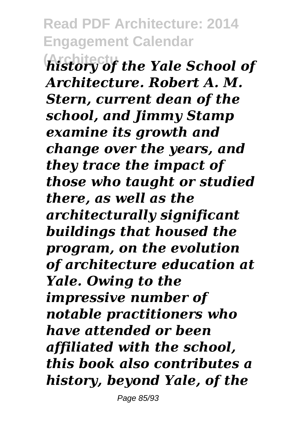**(Architectu** *history of the Yale School of Architecture. Robert A. M. Stern, current dean of the school, and Jimmy Stamp examine its growth and change over the years, and they trace the impact of those who taught or studied there, as well as the architecturally significant buildings that housed the program, on the evolution of architecture education at Yale. Owing to the impressive number of notable practitioners who have attended or been affiliated with the school, this book also contributes a history, beyond Yale, of the*

Page 85/93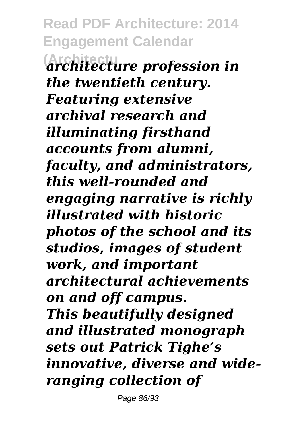**Read PDF Architecture: 2014 Engagement Calendar (Architectu** *architecture profession in the twentieth century. Featuring extensive archival research and illuminating firsthand accounts from alumni, faculty, and administrators, this well-rounded and engaging narrative is richly illustrated with historic photos of the school and its studios, images of student work, and important architectural achievements on and off campus. This beautifully designed and illustrated monograph sets out Patrick Tighe's innovative, diverse and wideranging collection of*

Page 86/93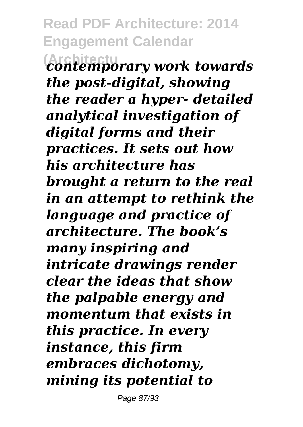**(Architectu** *contemporary work towards the post-digital, showing the reader a hyper- detailed analytical investigation of digital forms and their practices. It sets out how his architecture has brought a return to the real in an attempt to rethink the language and practice of architecture. The book's many inspiring and intricate drawings render clear the ideas that show the palpable energy and momentum that exists in this practice. In every instance, this firm embraces dichotomy, mining its potential to*

Page 87/93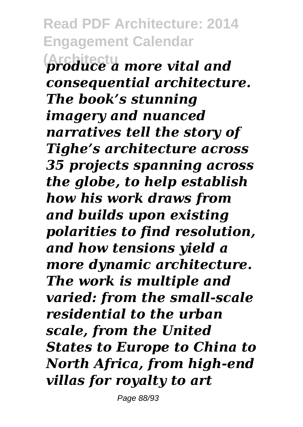**Read PDF Architecture: 2014 Engagement Calendar (Architectu** *produce a more vital and consequential architecture. The book's stunning imagery and nuanced narratives tell the story of Tighe's architecture across 35 projects spanning across the globe, to help establish how his work draws from and builds upon existing polarities to find resolution, and how tensions yield a more dynamic architecture. The work is multiple and varied: from the small-scale residential to the urban scale, from the United States to Europe to China to North Africa, from high-end villas for royalty to art*

Page 88/93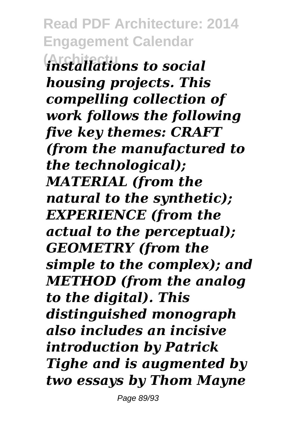**Read PDF Architecture: 2014 Engagement Calendar (Architectu** *installations to social housing projects. This compelling collection of work follows the following five key themes: CRAFT (from the manufactured to the technological); MATERIAL (from the natural to the synthetic); EXPERIENCE (from the actual to the perceptual); GEOMETRY (from the simple to the complex); and METHOD (from the analog to the digital). This distinguished monograph also includes an incisive introduction by Patrick Tighe and is augmented by two essays by Thom Mayne*

Page 89/93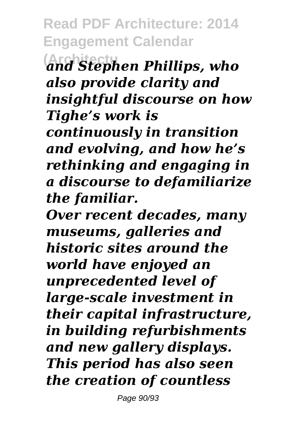**Read PDF Architecture: 2014 Engagement Calendar (Architectu** *and Stephen Phillips, who also provide clarity and insightful discourse on how Tighe's work is continuously in transition and evolving, and how he's rethinking and engaging in a discourse to defamiliarize the familiar.*

*Over recent decades, many museums, galleries and historic sites around the world have enjoyed an unprecedented level of large-scale investment in their capital infrastructure, in building refurbishments and new gallery displays. This period has also seen the creation of countless*

Page 90/93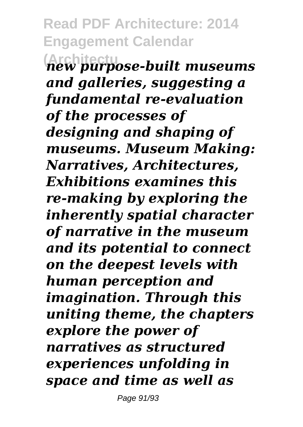**Read PDF Architecture: 2014 Engagement Calendar (Architectu** *new purpose-built museums and galleries, suggesting a fundamental re-evaluation of the processes of designing and shaping of museums. Museum Making: Narratives, Architectures, Exhibitions examines this re-making by exploring the inherently spatial character of narrative in the museum and its potential to connect on the deepest levels with human perception and imagination. Through this uniting theme, the chapters explore the power of narratives as structured experiences unfolding in space and time as well as*

Page 91/93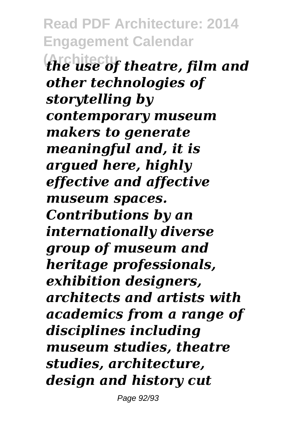**Read PDF Architecture: 2014 Engagement Calendar (Architectu** *the use of theatre, film and other technologies of storytelling by contemporary museum makers to generate meaningful and, it is argued here, highly effective and affective museum spaces. Contributions by an internationally diverse group of museum and heritage professionals, exhibition designers, architects and artists with academics from a range of disciplines including museum studies, theatre studies, architecture, design and history cut*

Page 92/93